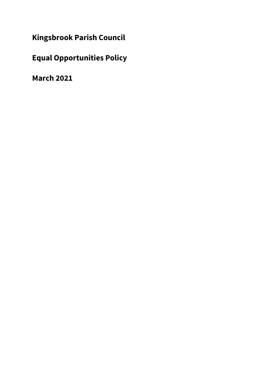**Kingsbrook Parish Council**

**Equal Opportunities Policy**

**March 2021**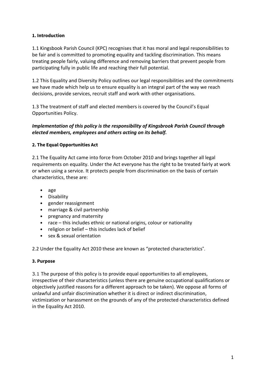# **1. Introduction**

1.1 Kingsbook Parish Council (KPC) recognises that it has moral and legal responsibilities to be fair and is committed to promoting equality and tackling discrimination. This means treating people fairly, valuing difference and removing barriers that prevent people from participating fully in public life and reaching their full potential.

1.2 This Equality and Diversity Policy outlines our legal responsibilities and the commitments we have made which help us to ensure equality is an integral part of the way we reach decisions, provide services, recruit staff and work with other organisations.

1.3 The treatment of staff and elected members is covered by the Council's Equal Opportunities Policy.

# *Implementation of this policy is the responsibility of Kingsbrook Parish Council through elected members, employees and others acting on its behalf.*

# **2. The Equal Opportunities Act**

2.1 The Equality Act came into force from October 2010 and brings together all legal requirements on equality. Under the Act everyone has the right to be treated fairly at work or when using a service. It protects people from discrimination on the basis of certain characteristics, these are:

- age
- Disability
- gender reassignment
- marriage & civil partnership
- pregnancy and maternity
- race this includes ethnic or national origins, colour or nationality
- religion or belief this includes lack of belief
- sex & sexual orientation

2.2 Under the Equality Act 2010 these are known as "protected characteristics".

### **3. Purpose**

3.1 The purpose of this policy is to provide equal opportunities to all employees, irrespective of their characteristics (unless there are genuine occupational qualifications or objectively justified reasons for a different approach to be taken). We oppose all forms of unlawful and unfair discrimination whether it is direct or indirect discrimination, victimization or harassment on the grounds of any of the protected characteristics defined in the Equality Act 2010.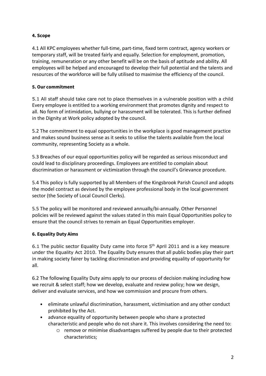# **4. Scope**

4.1 All KPC employees whether full-time, part-time, fixed term contract, agency workers or temporary staff, will be treated fairly and equally. Selection for employment, promotion, training, remuneration or any other benefit will be on the basis of aptitude and ability. All employees will be helped and encouraged to develop their full potential and the talents and resources of the workforce will be fully utilised to maximise the efficiency of the council.

### **5. Our commitment**

5.1 All staff should take care not to place themselves in a vulnerable position with a child Every employee is entitled to a working environment that promotes dignity and respect to all. No form of intimidation, bullying or harassment will be tolerated. This is further defined in the Dignity at Work policy adopted by the council.

5.2 The commitment to equal opportunities in the workplace is good management practice and makes sound business sense as it seeks to utilise the talents available from the local community, representing Society as a whole.

5.3 Breaches of our equal opportunities policy will be regarded as serious misconduct and could lead to disciplinary proceedings. Employees are entitled to complain about discrimination or harassment or victimization through the council's Grievance procedure.

5.4 This policy is fully supported by all Members of the Kingsbrook Parish Council and adopts the model contract as devised by the employee professional body in the local government sector (the Society of Local Council Clerks).

5.5 The policy will be monitored and reviewed annually/bi-annually. Other Personnel policies will be reviewed against the values stated in this main Equal Opportunities policy to ensure that the council strives to remain an Equal Opportunities employer.

# **6. Equality Duty Aims**

6.1 The public sector Equality Duty came into force 5th April 2011 and is a key measure under the Equality Act 2010. The Equality Duty ensures that all public bodies play their part in making society fairer by tackling discrimination and providing equality of opportunity for all.

6.2 The following Equality Duty aims apply to our process of decision making including how we recruit & select staff; how we develop, evaluate and review policy; how we design, deliver and evaluate services, and how we commission and procure from others.

- eliminate unlawful discrimination, harassment, victimisation and any other conduct prohibited by the Act.
- advance equality of opportunity between people who share a protected characteristic and people who do not share it. This involves considering the need to:
	- o remove or minimise disadvantages suffered by people due to their protected characteristics;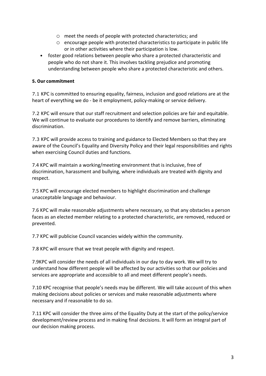- o meet the needs of people with protected characteristics; and
- $\circ$  encourage people with protected characteristics to participate in public life or in other activities where their participation is low.
- foster good relations between people who share a protected characteristic and people who do not share it. This involves tackling prejudice and promoting understanding between people who share a protected characteristic and others.

#### **5. Our commitment**

7.1 KPC is committed to ensuring equality, fairness, inclusion and good relations are at the heart of everything we do - be it employment, policy-making or service delivery.

7.2 KPC will ensure that our staff recruitment and selection policies are fair and equitable. We will continue to evaluate our procedures to identify and remove barriers, eliminating discrimination.

7.3 KPC will provide access to training and guidance to Elected Members so that they are aware of the Council's Equality and Diversity Policy and their legal responsibilities and rights when exercising Council duties and functions.

7.4 KPC will maintain a working/meeting environment that is inclusive, free of discrimination, harassment and bullying, where individuals are treated with dignity and respect.

7.5 KPC will encourage elected members to highlight discrimination and challenge unacceptable language and behaviour.

7.6 KPC will make reasonable adjustments where necessary, so that any obstacles a person faces as an elected member relating to a protected characteristic, are removed, reduced or prevented.

7.7 KPC will publicise Council vacancies widely within the community.

7.8 KPC will ensure that we treat people with dignity and respect.

7.9KPC will consider the needs of all individuals in our day to day work. We will try to understand how different people will be affected by our activities so that our policies and services are appropriate and accessible to all and meet different people's needs.

7.10 KPC recognise that people's needs may be different. We will take account of this when making decisions about policies or services and make reasonable adjustments where necessary and if reasonable to do so.

7.11 KPC will consider the three aims of the Equality Duty at the start of the policy/service development/review process and in making final decisions. It will form an integral part of our decision making process.